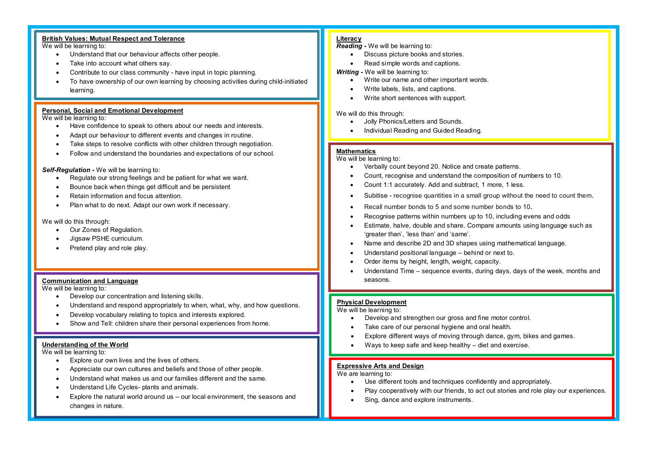# **British Values: Mutual Respect and Tolerance**

We will be learning to:

- · Understand that our behaviour affects other people.
- Take into account what others say.
- Contribute to our class community have input in topic planning.
- · To have ownership of our own learning by choosing activities during child-initiated learning.

## **Personal, Social and Emotional Development**

## We will be learning to:

- · Have confidence to speak to others about our needs and interests.
- Adapt our behaviour to different events and changes in routine.
- Take steps to resolve conflicts with other children through negotiation.
- · Follow and understand the boundaries and expectations of our school.

## *Self-Regulation -* We will be learning to:

- · Regulate our strong feelings and be patient for what we want.
- Bounce back when things get difficult and be persistent
- · Retain information and focus attention.
- · Plan what to do next. Adapt our own work if necessary.

## We will do this through:

- · Our Zones of Regulation.
- · Jigsaw PSHE curriculum.
- Pretend play and role play.

## **Communication and Language**

We will be learning to:

- Develop our concentration and listening skills.
- · Understand and respond appropriately to when, what, why, and how questions.
- Develop vocabulary relating to topics and interests explored.
- Show and Tell: children share their personal experiences from home.

## **Understanding of the World**

We will be learning to:

- · Explore our own lives and the lives of others.
- · Appreciate our own cultures and beliefs and those of other people.
- · Understand what makes us and our families different and the same.
- · Understand Life Cycles- plants and animals.
- Explore the natural world around us  $-$  our local environment, the seasons and changes in nature.

## **Literacy**

## *Reading -* We will be learning to:

- Discuss picture books and stories.
- Read simple words and captions.

## *Writing -* We will be learning to:

- · Write our name and other important words.
- · Write labels, lists, and captions.
- Write short sentences with support.

### We will do this through:

- · Jolly Phonics/Letters and Sounds.
- · Individual Reading and Guided Reading.

## **Mathematics**

## We will be learning to:

- · Verbally count beyond 20. Notice and create patterns.
- · Count, recognise and understand the composition of numbers to 10.
- · Count 1:1 accurately. Add and subtract, 1 more, 1 less.
- Subitise recognise quantities in a small group without the need to count them.
- Recall number bonds to 5 and some number bonds to 10.
- Recognise patterns within numbers up to 10, including evens and odds
- Estimate, halve, double and share. Compare amounts using language such as 'greater than', 'less than' and 'same'.
- · Name and describe 2D and 3D shapes using mathematical language.
- Understand positional language behind or next to.
- Order items by height, length, weight, capacity.
- Understand Time sequence events, during days, days of the week, months and seasons.

## **Physical Development**

We will be learning to:

- Develop and strengthen our gross and fine motor control.
- Take care of our personal hygiene and oral health.
- Explore different ways of moving through dance, gym, bikes and games.
- · Ways to keep safe and keep healthy diet and exercise.

# **Expressive Arts and Design**

We are learning to:

- Use different tools and techniques confidently and appropriately.
- Play cooperatively with our friends, to act out stories and role play our experiences.
- · Sing, dance and explore instruments.